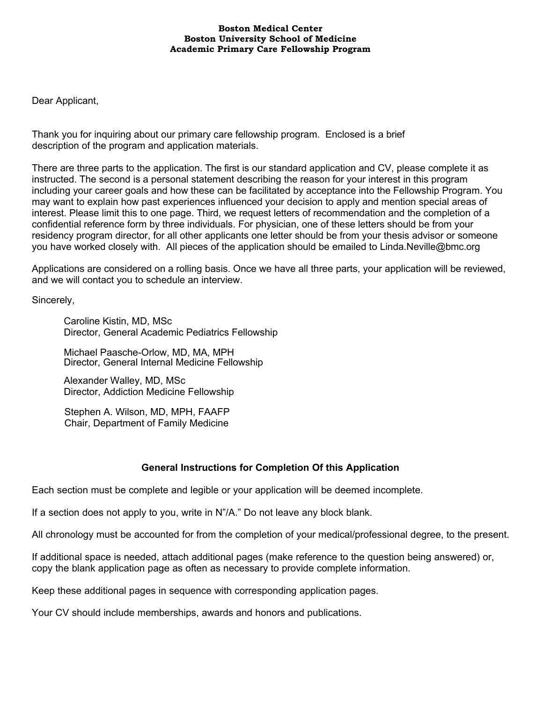#### **Boston Medical Center Boston University School of Medicine Academic Primary Care Fellowship Program**

Dear Applicant,

Thank you for inquiring about our primary care fellowship program. Enclosed is a brief description of the program and application materials.

There are three parts to the application. The first is our standard application and CV, please complete it as instructed. The second is a personal statement describing the reason for your interest in this program including your career goals and how these can be facilitated by acceptance into the Fellowship Program. You may want to explain how past experiences influenced your decision to apply and mention special areas of interest. Please limit this to one page. Third, we request letters of recommendation and the completion of a confidential reference form by three individuals. For physician, one of these letters should be from your residency program director, for all other applicants one letter should be from your thesis advisor or someone you have worked closely with. All pieces of the application should be emailed to Linda.Neville@bmc.org

Applications are considered on a rolling basis. Once we have all three parts, your application will be reviewed, and we will contact you to schedule an interview.

Sincerely,

Caroline Kistin, MD, MSc Director, General Academic Pediatrics Fellowship

Michael Paasche-Orlow, MD, MA, MPH Director, General Internal Medicine Fellowship

Alexander Walley, MD, MSc Director, Addiction Medicine Fellowship

Stephen A. Wilson, MD, MPH, FAAFP Chair, Department of Family Medicine

## **General Instructions for Completion Of this Application**

Each section must be complete and legible or your application will be deemed incomplete.

If a section does not apply to you, write in N"/A." Do not leave any block blank.

All chronology must be accounted for from the completion of your medical/professional degree, to the present.

If additional space is needed, attach additional pages (make reference to the question being answered) or, copy the blank application page as often as necessary to provide complete information.

Keep these additional pages in sequence with corresponding application pages.

Your CV should include memberships, awards and honors and publications.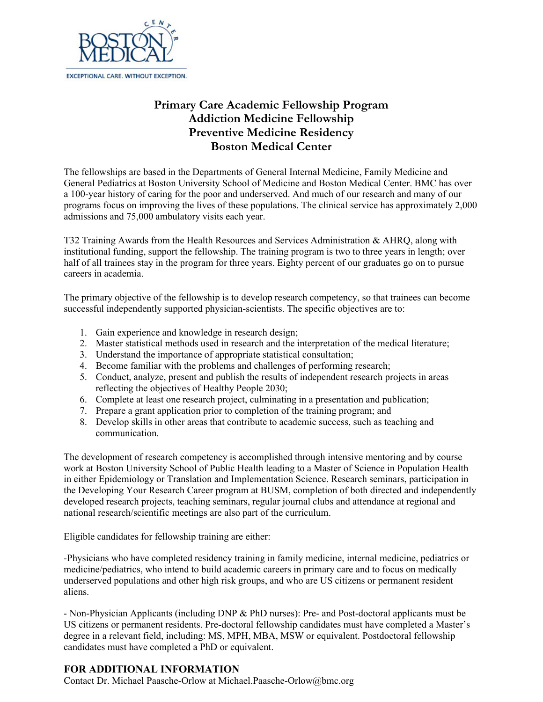

# **Primary Care Academic Fellowship Program Addiction Medicine Fellowship Preventive Medicine Residency Boston Medical Center**

The fellowships are based in the Departments of General Internal Medicine, Family Medicine and General Pediatrics at Boston University School of Medicine and Boston Medical Center. BMC has over a 100-year history of caring for the poor and underserved. And much of our research and many of our programs focus on improving the lives of these populations. The clinical service has approximately 2,000 admissions and 75,000 ambulatory visits each year.

T32 Training Awards from the Health Resources and Services Administration & AHRQ, along with institutional funding, support the fellowship. The training program is two to three years in length; over half of all trainees stay in the program for three years. Eighty percent of our graduates go on to pursue careers in academia.

The primary objective of the fellowship is to develop research competency, so that trainees can become successful independently supported physician-scientists. The specific objectives are to:

- 1. Gain experience and knowledge in research design;
- 2. Master statistical methods used in research and the interpretation of the medical literature;
- 3. Understand the importance of appropriate statistical consultation;
- 4. Become familiar with the problems and challenges of performing research;
- 5. Conduct, analyze, present and publish the results of independent research projects in areas reflecting the objectives of Healthy People 2030;
- 6. Complete at least one research project, culminating in a presentation and publication;
- 7. Prepare a grant application prior to completion of the training program; and
- 8. Develop skills in other areas that contribute to academic success, such as teaching and communication.

The development of research competency is accomplished through intensive mentoring and by course work at Boston University School of Public Health leading to a Master of Science in Population Health in either Epidemiology or Translation and Implementation Science. Research seminars, participation in the Developing Your Research Career program at BUSM, completion of both directed and independently developed research projects, teaching seminars, regular journal clubs and attendance at regional and national research/scientific meetings are also part of the curriculum.

Eligible candidates for fellowship training are either:

-Physicians who have completed residency training in family medicine, internal medicine, pediatrics or medicine/pediatrics, who intend to build academic careers in primary care and to focus on medically underserved populations and other high risk groups, and who are US citizens or permanent resident aliens.

- Non-Physician Applicants (including DNP & PhD nurses): Pre- and Post-doctoral applicants must be US citizens or permanent residents. Pre-doctoral fellowship candidates must have completed a Master's degree in a relevant field, including: MS, MPH, MBA, MSW or equivalent. Postdoctoral fellowship candidates must have completed a PhD or equivalent.

## **FOR ADDITIONAL INFORMATION**

Contact Dr. Michael Paasche-Orlow at Michael.Paasche-Orlow@bmc.org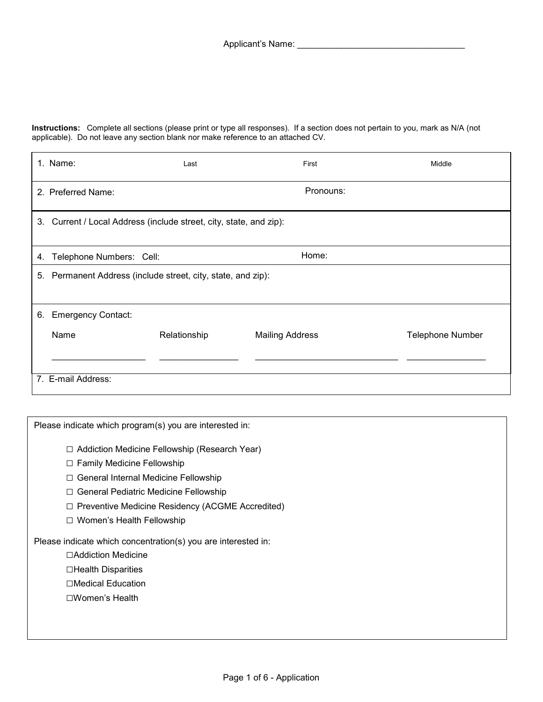**Instructions:** Complete all sections (please print or type all responses). If a section does not pertain to you, mark as N/A (not applicable). Do not leave any section blank nor make reference to an attached CV.

|    | 1. Name:                                                           | Last         | First                  | Middle                  |  |  |  |  |
|----|--------------------------------------------------------------------|--------------|------------------------|-------------------------|--|--|--|--|
|    | 2. Preferred Name:                                                 |              | Pronouns:              |                         |  |  |  |  |
|    | 3. Current / Local Address (include street, city, state, and zip): |              |                        |                         |  |  |  |  |
| 4. | Telephone Numbers: Cell:                                           |              | Home:                  |                         |  |  |  |  |
| 5. | Permanent Address (include street, city, state, and zip):          |              |                        |                         |  |  |  |  |
| 6. | <b>Emergency Contact:</b>                                          |              |                        |                         |  |  |  |  |
|    | Name                                                               | Relationship | <b>Mailing Address</b> | <b>Telephone Number</b> |  |  |  |  |
|    | 7. E-mail Address:                                                 |              |                        |                         |  |  |  |  |

Please indicate which program(s) you are interested in:

- □ Addiction Medicine Fellowship (Research Year)
- □ Family Medicine Fellowship
- □ General Internal Medicine Fellowship
- □ General Pediatric Medicine Fellowship
- □ Preventive Medicine Residency (ACGME Accredited)
- □ Women's Health Fellowship

Please indicate which concentration(s) you are interested in:

- □Addiction Medicine
- □Health Disparities
- □Medical Education
- □Women's Health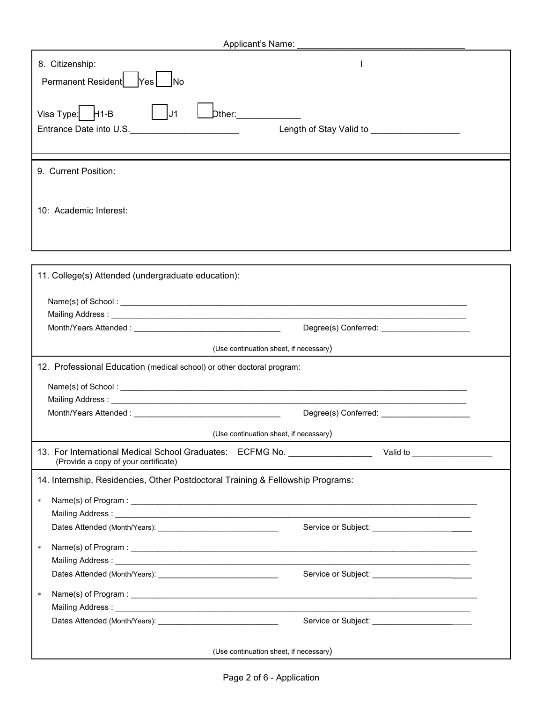| Applicant's Name:                                                                                                                                            |  |  |  |  |  |
|--------------------------------------------------------------------------------------------------------------------------------------------------------------|--|--|--|--|--|
| 8. Citizenship:                                                                                                                                              |  |  |  |  |  |
| Permanent Resident   Yes<br><b>INo</b>                                                                                                                       |  |  |  |  |  |
| Visa Type: $H1-B$<br>U1<br>Dther:______________<br>Entrance Date into U.S.<br><u>Entrance Date into U.S.</u><br>Length of Stay Valid to ____________________ |  |  |  |  |  |
|                                                                                                                                                              |  |  |  |  |  |
|                                                                                                                                                              |  |  |  |  |  |
| 9. Current Position:                                                                                                                                         |  |  |  |  |  |
| 10: Academic Interest:                                                                                                                                       |  |  |  |  |  |
|                                                                                                                                                              |  |  |  |  |  |
|                                                                                                                                                              |  |  |  |  |  |
| 11. College(s) Attended (undergraduate education):                                                                                                           |  |  |  |  |  |
| Name(s) of School:                                                                                                                                           |  |  |  |  |  |
|                                                                                                                                                              |  |  |  |  |  |
|                                                                                                                                                              |  |  |  |  |  |
| (Use continuation sheet, if necessary)                                                                                                                       |  |  |  |  |  |
| 12. Professional Education (medical school) or other doctoral program:                                                                                       |  |  |  |  |  |
|                                                                                                                                                              |  |  |  |  |  |
|                                                                                                                                                              |  |  |  |  |  |
|                                                                                                                                                              |  |  |  |  |  |
|                                                                                                                                                              |  |  |  |  |  |
| (Use continuation sheet, if necessary)                                                                                                                       |  |  |  |  |  |
| 13. For International Medical School Graduates: ECFMG No. ________________<br>Valid to ____________________<br>(Provide a copy of your certificate)          |  |  |  |  |  |
| 14. Internship, Residencies, Other Postdoctoral Training & Fellowship Programs:                                                                              |  |  |  |  |  |
| $\ast$                                                                                                                                                       |  |  |  |  |  |
|                                                                                                                                                              |  |  |  |  |  |
|                                                                                                                                                              |  |  |  |  |  |
| $\ast$                                                                                                                                                       |  |  |  |  |  |
|                                                                                                                                                              |  |  |  |  |  |
|                                                                                                                                                              |  |  |  |  |  |
| $\ast$                                                                                                                                                       |  |  |  |  |  |
| Mailing Address: University of the Mailing Address of the Mailing Address of the Mail and the Mail and the Mail                                              |  |  |  |  |  |
|                                                                                                                                                              |  |  |  |  |  |
|                                                                                                                                                              |  |  |  |  |  |
| (Use continuation sheet, if necessary)                                                                                                                       |  |  |  |  |  |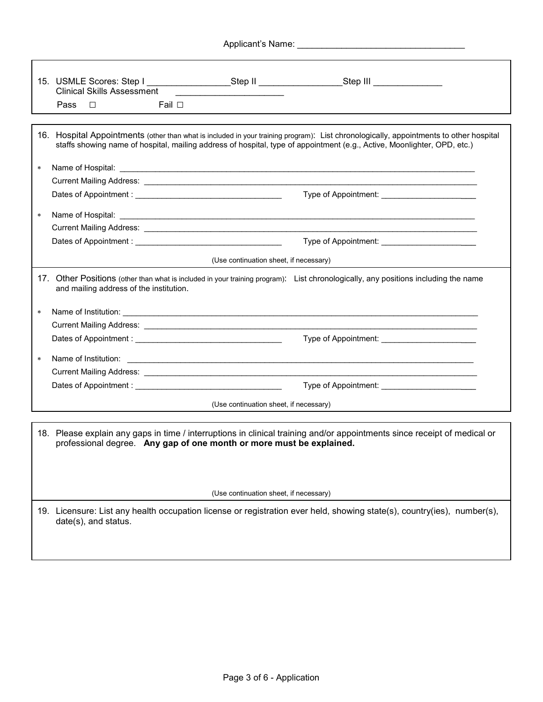|                                                                                                                                                                                                                                            | <b>Clinical Skills Assessment</b><br>Fail □<br>Pass<br>$\Box$                                                                                                                                                                                                      | 15. USMLE Scores: Step I ___________________Step II __________________Step III ____________________                        |  |  |  |  |  |
|--------------------------------------------------------------------------------------------------------------------------------------------------------------------------------------------------------------------------------------------|--------------------------------------------------------------------------------------------------------------------------------------------------------------------------------------------------------------------------------------------------------------------|----------------------------------------------------------------------------------------------------------------------------|--|--|--|--|--|
|                                                                                                                                                                                                                                            | 16. Hospital Appointments (other than what is included in your training program): List chronologically, appointments to other hospital<br>staffs showing name of hospital, mailing address of hospital, type of appointment (e.g., Active, Moonlighter, OPD, etc.) |                                                                                                                            |  |  |  |  |  |
| $\star$                                                                                                                                                                                                                                    | Name of Hospital:                                                                                                                                                                                                                                                  | <u> 1989 - Johann Stoff, amerikansk politiker (d. 1989)</u>                                                                |  |  |  |  |  |
|                                                                                                                                                                                                                                            |                                                                                                                                                                                                                                                                    |                                                                                                                            |  |  |  |  |  |
|                                                                                                                                                                                                                                            |                                                                                                                                                                                                                                                                    |                                                                                                                            |  |  |  |  |  |
| $\ast$                                                                                                                                                                                                                                     |                                                                                                                                                                                                                                                                    |                                                                                                                            |  |  |  |  |  |
|                                                                                                                                                                                                                                            |                                                                                                                                                                                                                                                                    | Current Mailing Address: <u>Communications and Communications and Communications and Communications and Communications</u> |  |  |  |  |  |
|                                                                                                                                                                                                                                            |                                                                                                                                                                                                                                                                    |                                                                                                                            |  |  |  |  |  |
|                                                                                                                                                                                                                                            |                                                                                                                                                                                                                                                                    | (Use continuation sheet, if necessary)                                                                                     |  |  |  |  |  |
|                                                                                                                                                                                                                                            | 17. Other Positions (other than what is included in your training program): List chronologically, any positions including the name<br>and mailing address of the institution.                                                                                      |                                                                                                                            |  |  |  |  |  |
| $\star$                                                                                                                                                                                                                                    | Name of Institution: <u>example and the contract of the contract of the contract of the contract of the contract of the contract of the contract of the contract of the contract of the contract of the contract of the contract</u>                               |                                                                                                                            |  |  |  |  |  |
|                                                                                                                                                                                                                                            |                                                                                                                                                                                                                                                                    |                                                                                                                            |  |  |  |  |  |
|                                                                                                                                                                                                                                            |                                                                                                                                                                                                                                                                    |                                                                                                                            |  |  |  |  |  |
| $\ast$                                                                                                                                                                                                                                     | Name of Institution:                                                                                                                                                                                                                                               |                                                                                                                            |  |  |  |  |  |
|                                                                                                                                                                                                                                            |                                                                                                                                                                                                                                                                    |                                                                                                                            |  |  |  |  |  |
|                                                                                                                                                                                                                                            |                                                                                                                                                                                                                                                                    |                                                                                                                            |  |  |  |  |  |
|                                                                                                                                                                                                                                            |                                                                                                                                                                                                                                                                    | (Use continuation sheet, if necessary)                                                                                     |  |  |  |  |  |
| 18. Please explain any gaps in time / interruptions in clinical training and/or appointments since receipt of medical or<br>professional degree. Any gap of one month or more must be explained.<br>(Use continuation sheet, if necessary) |                                                                                                                                                                                                                                                                    |                                                                                                                            |  |  |  |  |  |
|                                                                                                                                                                                                                                            | date(s), and status.                                                                                                                                                                                                                                               | 19. Licensure: List any health occupation license or registration ever held, showing state(s), country(ies), number(s),    |  |  |  |  |  |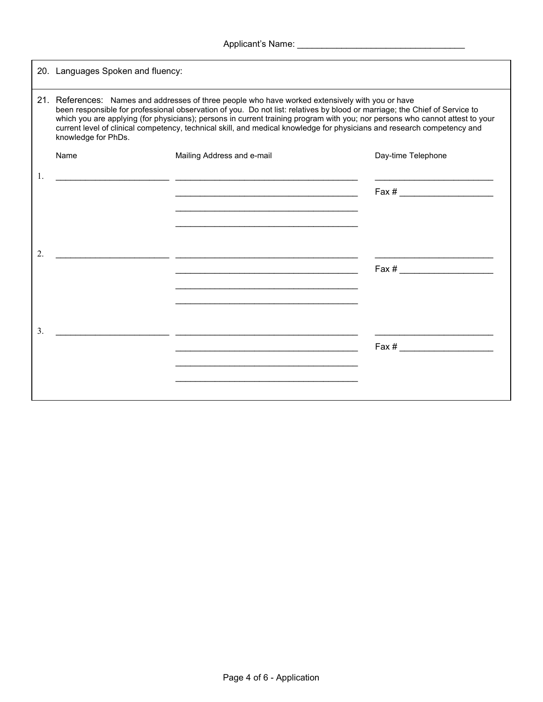|    |                                                                                                                                                                                                                                                                                                                                                                                                                                                                                                                  | Applicant's Name: Manual Applicant's Name: Manual Applicant's Name:                                                                                                                                                                          |                    |  |  |  |
|----|------------------------------------------------------------------------------------------------------------------------------------------------------------------------------------------------------------------------------------------------------------------------------------------------------------------------------------------------------------------------------------------------------------------------------------------------------------------------------------------------------------------|----------------------------------------------------------------------------------------------------------------------------------------------------------------------------------------------------------------------------------------------|--------------------|--|--|--|
|    | 20. Languages Spoken and fluency:                                                                                                                                                                                                                                                                                                                                                                                                                                                                                |                                                                                                                                                                                                                                              |                    |  |  |  |
|    | 21. References: Names and addresses of three people who have worked extensively with you or have<br>been responsible for professional observation of you. Do not list: relatives by blood or marriage; the Chief of Service to<br>which you are applying (for physicians); persons in current training program with you; nor persons who cannot attest to your<br>current level of clinical competency, technical skill, and medical knowledge for physicians and research competency and<br>knowledge for PhDs. |                                                                                                                                                                                                                                              |                    |  |  |  |
|    | Name                                                                                                                                                                                                                                                                                                                                                                                                                                                                                                             | Mailing Address and e-mail                                                                                                                                                                                                                   | Day-time Telephone |  |  |  |
| 1. |                                                                                                                                                                                                                                                                                                                                                                                                                                                                                                                  | <u> 1989 - Johann John Stein, mars ar yn y brenin y brenin y brenin y brenin y brenin y brenin y brenin y brenin</u><br><u> Alexandria de la contrada de la contrada de la contrada de la contrada de la contrada de la contrada de la c</u> |                    |  |  |  |
| 2. |                                                                                                                                                                                                                                                                                                                                                                                                                                                                                                                  | <u> La componenta del control de la componenta del componenta del componenta del componenta del componenta del co</u>                                                                                                                        |                    |  |  |  |
| 3. |                                                                                                                                                                                                                                                                                                                                                                                                                                                                                                                  |                                                                                                                                                                                                                                              | $\text{Fax} \#$    |  |  |  |
|    |                                                                                                                                                                                                                                                                                                                                                                                                                                                                                                                  |                                                                                                                                                                                                                                              |                    |  |  |  |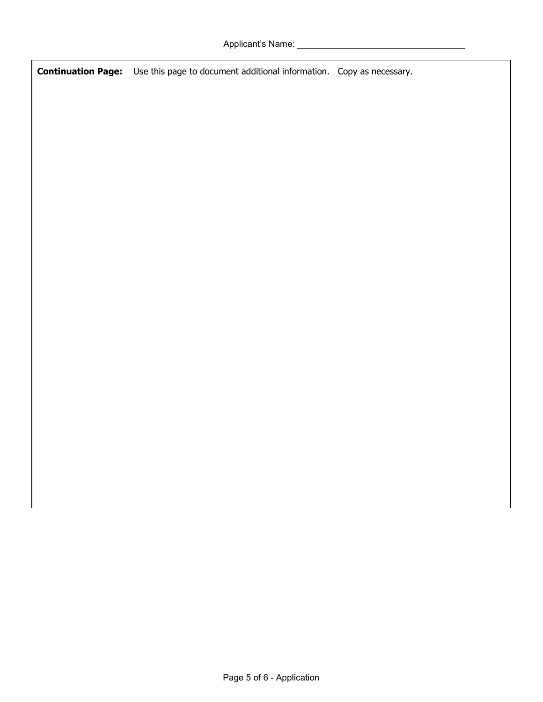**Continuation Page:** Use this page to document additional information. Copy as necessary.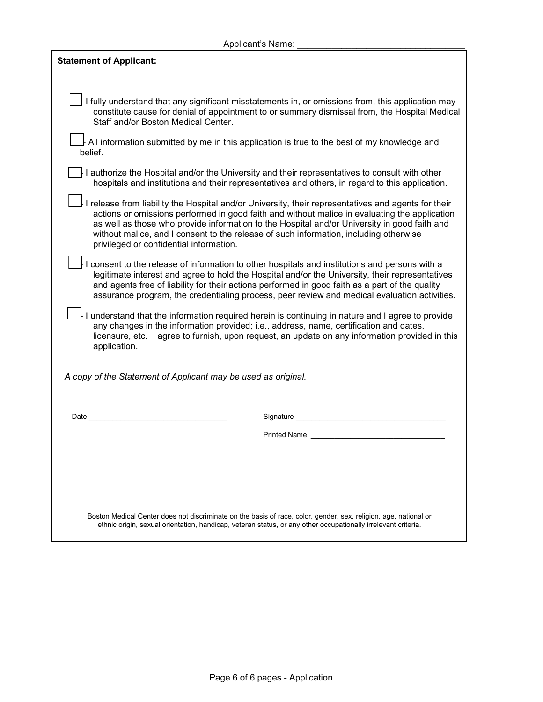| Applicant's Name:                                                                                                                                                                                                                                                                                                                                                                                                                        |  |  |  |  |
|------------------------------------------------------------------------------------------------------------------------------------------------------------------------------------------------------------------------------------------------------------------------------------------------------------------------------------------------------------------------------------------------------------------------------------------|--|--|--|--|
| <b>Statement of Applicant:</b>                                                                                                                                                                                                                                                                                                                                                                                                           |  |  |  |  |
|                                                                                                                                                                                                                                                                                                                                                                                                                                          |  |  |  |  |
| I fully understand that any significant misstatements in, or omissions from, this application may<br>constitute cause for denial of appointment to or summary dismissal from, the Hospital Medical<br>Staff and/or Boston Medical Center.                                                                                                                                                                                                |  |  |  |  |
| l All information submitted by me in this application is true to the best of my knowledge and<br>belief.                                                                                                                                                                                                                                                                                                                                 |  |  |  |  |
| I authorize the Hospital and/or the University and their representatives to consult with other<br>hospitals and institutions and their representatives and others, in regard to this application.                                                                                                                                                                                                                                        |  |  |  |  |
| I release from liability the Hospital and/or University, their representatives and agents for their<br>actions or omissions performed in good faith and without malice in evaluating the application<br>as well as those who provide information to the Hospital and/or University in good faith and<br>without malice, and I consent to the release of such information, including otherwise<br>privileged or confidential information. |  |  |  |  |
| I consent to the release of information to other hospitals and institutions and persons with a<br>legitimate interest and agree to hold the Hospital and/or the University, their representatives<br>and agents free of liability for their actions performed in good faith as a part of the quality<br>assurance program, the credentialing process, peer review and medical evaluation activities.                                     |  |  |  |  |
| I understand that the information required herein is continuing in nature and I agree to provide<br>any changes in the information provided; i.e., address, name, certification and dates,<br>licensure, etc. I agree to furnish, upon request, an update on any information provided in this<br>application.                                                                                                                            |  |  |  |  |
| A copy of the Statement of Applicant may be used as original.                                                                                                                                                                                                                                                                                                                                                                            |  |  |  |  |
|                                                                                                                                                                                                                                                                                                                                                                                                                                          |  |  |  |  |
| Date<br>Signature                                                                                                                                                                                                                                                                                                                                                                                                                        |  |  |  |  |
| <b>Printed Name</b>                                                                                                                                                                                                                                                                                                                                                                                                                      |  |  |  |  |
|                                                                                                                                                                                                                                                                                                                                                                                                                                          |  |  |  |  |
|                                                                                                                                                                                                                                                                                                                                                                                                                                          |  |  |  |  |
|                                                                                                                                                                                                                                                                                                                                                                                                                                          |  |  |  |  |
| Boston Medical Center does not discriminate on the basis of race, color, gender, sex, religion, age, national or<br>ethnic origin, sexual orientation, handicap, veteran status, or any other occupationally irrelevant criteria.                                                                                                                                                                                                        |  |  |  |  |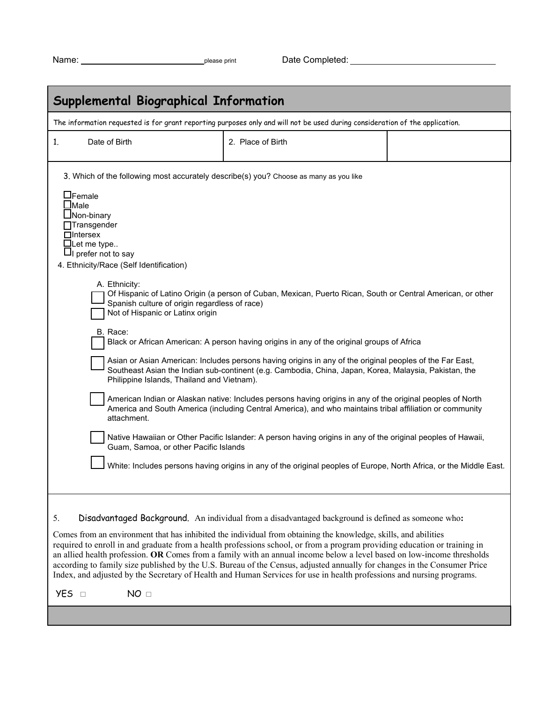| Name |  |
|------|--|
|      |  |

| <b>Supplemental Biographical Information</b>                                                                                                                                                                                                                                                                                                                                                                                                                                                                  |                                                                                                                                                                                                                                                                                                                                                                                                                                                                                                                                                                                                                                                                                                                                                                                                                                                                                                |  |  |  |  |
|---------------------------------------------------------------------------------------------------------------------------------------------------------------------------------------------------------------------------------------------------------------------------------------------------------------------------------------------------------------------------------------------------------------------------------------------------------------------------------------------------------------|------------------------------------------------------------------------------------------------------------------------------------------------------------------------------------------------------------------------------------------------------------------------------------------------------------------------------------------------------------------------------------------------------------------------------------------------------------------------------------------------------------------------------------------------------------------------------------------------------------------------------------------------------------------------------------------------------------------------------------------------------------------------------------------------------------------------------------------------------------------------------------------------|--|--|--|--|
| The information requested is for grant reporting purposes only and will not be used during consideration of the application.                                                                                                                                                                                                                                                                                                                                                                                  |                                                                                                                                                                                                                                                                                                                                                                                                                                                                                                                                                                                                                                                                                                                                                                                                                                                                                                |  |  |  |  |
| Date of Birth<br>1.                                                                                                                                                                                                                                                                                                                                                                                                                                                                                           | 2. Place of Birth                                                                                                                                                                                                                                                                                                                                                                                                                                                                                                                                                                                                                                                                                                                                                                                                                                                                              |  |  |  |  |
| 3. Which of the following most accurately describe(s) you? Choose as many as you like<br>$\Box$ Female<br>$\lrcorner$ Male<br>$\Box$ Non-binary<br>$\Box$ Transgender<br>$\Box$ Intersex<br>$\Box$ Let me type<br>$\Box$ prefer not to say<br>4. Ethnicity/Race (Self Identification)<br>A. Ethnicity:<br>Spanish culture of origin regardless of race)<br>Not of Hispanic or Latinx origin<br>B. Race:<br>Philippine Islands, Thailand and Vietnam).<br>attachment.<br>Guam, Samoa, or other Pacific Islands | Of Hispanic of Latino Origin (a person of Cuban, Mexican, Puerto Rican, South or Central American, or other<br>Black or African American: A person having origins in any of the original groups of Africa<br>Asian or Asian American: Includes persons having origins in any of the original peoples of the Far East,<br>Southeast Asian the Indian sub-continent (e.g. Cambodia, China, Japan, Korea, Malaysia, Pakistan, the<br>American Indian or Alaskan native: Includes persons having origins in any of the original peoples of North<br>America and South America (including Central America), and who maintains tribal affiliation or community<br>Native Hawaiian or Other Pacific Islander: A person having origins in any of the original peoples of Hawaii,<br>White: Includes persons having origins in any of the original peoples of Europe, North Africa, or the Middle East. |  |  |  |  |
| Disadvantaged Background. An individual from a disadvantaged background is defined as someone who:<br>5.<br>Comes from an environment that has inhibited the individual from obtaining the knowledge, skills, and abilities<br>required to enroll in and graduate from a health professions school, or from a program providing education or training in<br>an allied health profession. OR Comes from a family with an annual income below a level based on low-income thresholds                            |                                                                                                                                                                                                                                                                                                                                                                                                                                                                                                                                                                                                                                                                                                                                                                                                                                                                                                |  |  |  |  |
| according to family size published by the U.S. Bureau of the Census, adjusted annually for changes in the Consumer Price<br>Index, and adjusted by the Secretary of Health and Human Services for use in health professions and nursing programs.                                                                                                                                                                                                                                                             |                                                                                                                                                                                                                                                                                                                                                                                                                                                                                                                                                                                                                                                                                                                                                                                                                                                                                                |  |  |  |  |
| <b>YES</b> □<br>NO <sub>□</sub>                                                                                                                                                                                                                                                                                                                                                                                                                                                                               |                                                                                                                                                                                                                                                                                                                                                                                                                                                                                                                                                                                                                                                                                                                                                                                                                                                                                                |  |  |  |  |